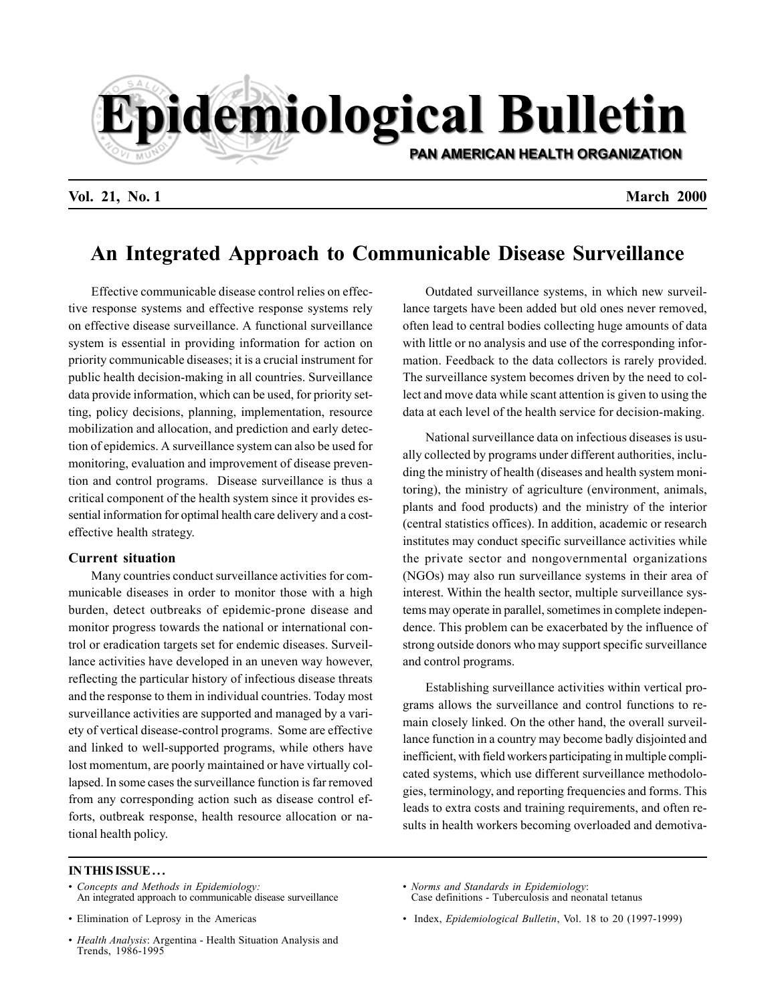

## **Vol. 21, No. 1 March 2000**

## **An Integrated Approach to Communicable Disease Surveillance**

Effective communicable disease control relies on effective response systems and effective response systems rely on effective disease surveillance. A functional surveillance system is essential in providing information for action on priority communicable diseases; it is a crucial instrument for public health decision-making in all countries. Surveillance data provide information, which can be used, for priority setting, policy decisions, planning, implementation, resource mobilization and allocation, and prediction and early detection of epidemics. A surveillance system can also be used for monitoring, evaluation and improvement of disease prevention and control programs. Disease surveillance is thus a critical component of the health system since it provides essential information for optimal health care delivery and a costeffective health strategy.

## **Current situation**

Many countries conduct surveillance activities for communicable diseases in order to monitor those with a high burden, detect outbreaks of epidemic-prone disease and monitor progress towards the national or international control or eradication targets set for endemic diseases. Surveillance activities have developed in an uneven way however, reflecting the particular history of infectious disease threats and the response to them in individual countries. Today most surveillance activities are supported and managed by a variety of vertical disease-control programs. Some are effective and linked to well-supported programs, while others have lost momentum, are poorly maintained or have virtually collapsed. In some cases the surveillance function is far removed from any corresponding action such as disease control efforts, outbreak response, health resource allocation or national health policy.

Outdated surveillance systems, in which new surveillance targets have been added but old ones never removed, often lead to central bodies collecting huge amounts of data with little or no analysis and use of the corresponding information. Feedback to the data collectors is rarely provided. The surveillance system becomes driven by the need to collect and move data while scant attention is given to using the data at each level of the health service for decision-making.

National surveillance data on infectious diseases is usually collected by programs under different authorities, including the ministry of health (diseases and health system monitoring), the ministry of agriculture (environment, animals, plants and food products) and the ministry of the interior (central statistics offices). In addition, academic or research institutes may conduct specific surveillance activities while the private sector and nongovernmental organizations (NGOs) may also run surveillance systems in their area of interest. Within the health sector, multiple surveillance systems may operate in parallel, sometimes in complete independence. This problem can be exacerbated by the influence of strong outside donors who may support specific surveillance and control programs.

Establishing surveillance activities within vertical programs allows the surveillance and control functions to remain closely linked. On the other hand, the overall surveillance function in a country may become badly disjointed and inefficient, with field workers participating in multiple complicated systems, which use different surveillance methodologies, terminology, and reporting frequencies and forms. This leads to extra costs and training requirements, and often results in health workers becoming overloaded and demotiva-

#### **IN THIS ISSUE . . .**

- *Concepts and Methods in Epidemiology:* An integrated approach to communicable disease surveillance
- Elimination of Leprosy in the Americas
- *Health Analysis*: Argentina Health Situation Analysis and Trends, 1986-1995
- *Norms and Standards in Epidemiology*: Case definitions - Tuberculosis and neonatal tetanus
- Index, *Epidemiological Bulletin*, Vol. 18 to 20 (1997-1999)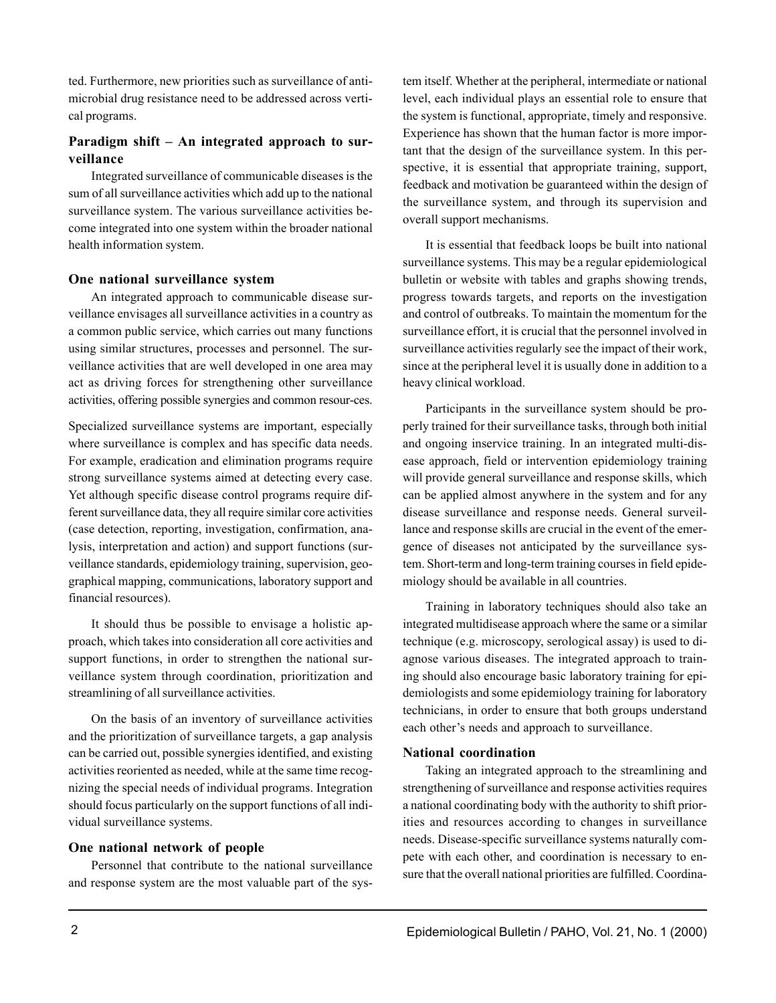ted. Furthermore, new priorities such as surveillance of antimicrobial drug resistance need to be addressed across vertical programs.

## **Paradigm shift – An integrated approach to surveillance**

Integrated surveillance of communicable diseases is the sum of all surveillance activities which add up to the national surveillance system. The various surveillance activities become integrated into one system within the broader national health information system.

## **One national surveillance system**

An integrated approach to communicable disease surveillance envisages all surveillance activities in a country as a common public service, which carries out many functions using similar structures, processes and personnel. The surveillance activities that are well developed in one area may act as driving forces for strengthening other surveillance activities, offering possible synergies and common resour-ces.

Specialized surveillance systems are important, especially where surveillance is complex and has specific data needs. For example, eradication and elimination programs require strong surveillance systems aimed at detecting every case. Yet although specific disease control programs require different surveillance data, they all require similar core activities (case detection, reporting, investigation, confirmation, analysis, interpretation and action) and support functions (surveillance standards, epidemiology training, supervision, geographical mapping, communications, laboratory support and financial resources).

It should thus be possible to envisage a holistic approach, which takes into consideration all core activities and support functions, in order to strengthen the national surveillance system through coordination, prioritization and streamlining of all surveillance activities.

On the basis of an inventory of surveillance activities and the prioritization of surveillance targets, a gap analysis can be carried out, possible synergies identified, and existing activities reoriented as needed, while at the same time recognizing the special needs of individual programs. Integration should focus particularly on the support functions of all individual surveillance systems.

## **One national network of people**

Personnel that contribute to the national surveillance and response system are the most valuable part of the system itself. Whether at the peripheral, intermediate or national level, each individual plays an essential role to ensure that the system is functional, appropriate, timely and responsive. Experience has shown that the human factor is more important that the design of the surveillance system. In this perspective, it is essential that appropriate training, support, feedback and motivation be guaranteed within the design of the surveillance system, and through its supervision and overall support mechanisms.

It is essential that feedback loops be built into national surveillance systems. This may be a regular epidemiological bulletin or website with tables and graphs showing trends, progress towards targets, and reports on the investigation and control of outbreaks. To maintain the momentum for the surveillance effort, it is crucial that the personnel involved in surveillance activities regularly see the impact of their work, since at the peripheral level it is usually done in addition to a heavy clinical workload.

Participants in the surveillance system should be properly trained for their surveillance tasks, through both initial and ongoing inservice training. In an integrated multi-disease approach, field or intervention epidemiology training will provide general surveillance and response skills, which can be applied almost anywhere in the system and for any disease surveillance and response needs. General surveillance and response skills are crucial in the event of the emergence of diseases not anticipated by the surveillance system. Short-term and long-term training courses in field epidemiology should be available in all countries.

Training in laboratory techniques should also take an integrated multidisease approach where the same or a similar technique (e.g. microscopy, serological assay) is used to diagnose various diseases. The integrated approach to training should also encourage basic laboratory training for epidemiologists and some epidemiology training for laboratory technicians, in order to ensure that both groups understand each other's needs and approach to surveillance.

## **National coordination**

Taking an integrated approach to the streamlining and strengthening of surveillance and response activities requires a national coordinating body with the authority to shift priorities and resources according to changes in surveillance needs. Disease-specific surveillance systems naturally compete with each other, and coordination is necessary to ensure that the overall national priorities are fulfilled. Coordina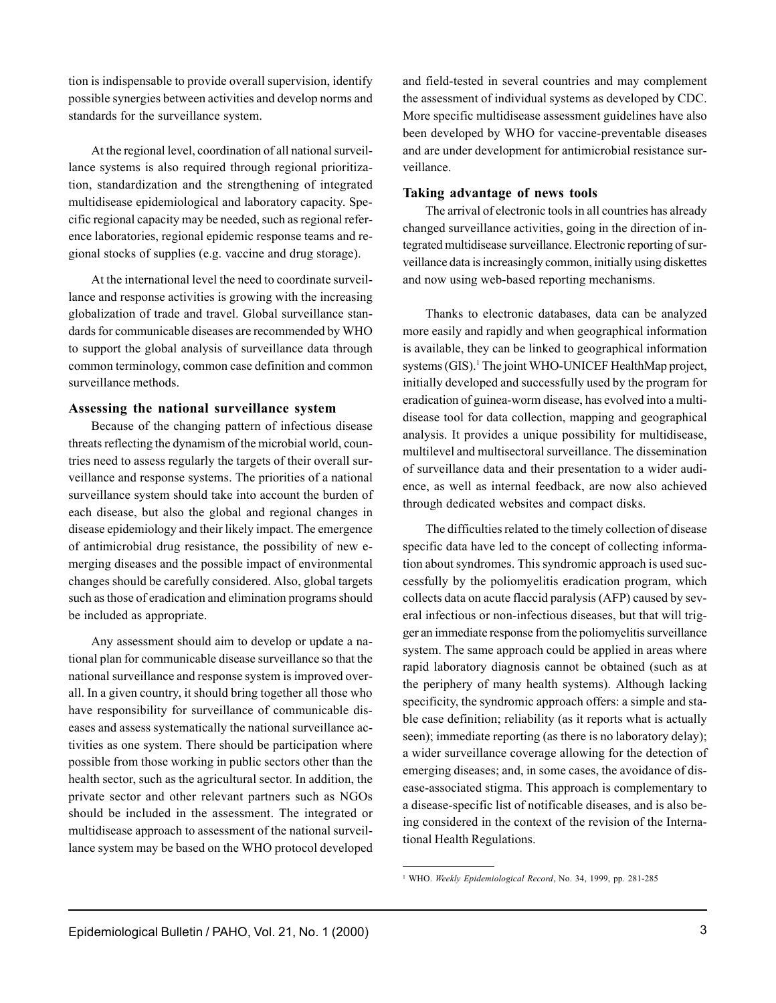tion is indispensable to provide overall supervision, identify possible synergies between activities and develop norms and standards for the surveillance system.

At the regional level, coordination of all national surveillance systems is also required through regional prioritization, standardization and the strengthening of integrated multidisease epidemiological and laboratory capacity. Specific regional capacity may be needed, such as regional reference laboratories, regional epidemic response teams and regional stocks of supplies (e.g. vaccine and drug storage).

At the international level the need to coordinate surveillance and response activities is growing with the increasing globalization of trade and travel. Global surveillance standards for communicable diseases are recommended by WHO to support the global analysis of surveillance data through common terminology, common case definition and common surveillance methods.

## **Assessing the national surveillance system**

Because of the changing pattern of infectious disease threats reflecting the dynamism of the microbial world, countries need to assess regularly the targets of their overall surveillance and response systems. The priorities of a national surveillance system should take into account the burden of each disease, but also the global and regional changes in disease epidemiology and their likely impact. The emergence of antimicrobial drug resistance, the possibility of new emerging diseases and the possible impact of environmental changes should be carefully considered. Also, global targets such as those of eradication and elimination programs should be included as appropriate.

Any assessment should aim to develop or update a national plan for communicable disease surveillance so that the national surveillance and response system is improved overall. In a given country, it should bring together all those who have responsibility for surveillance of communicable diseases and assess systematically the national surveillance activities as one system. There should be participation where possible from those working in public sectors other than the health sector, such as the agricultural sector. In addition, the private sector and other relevant partners such as NGOs should be included in the assessment. The integrated or multidisease approach to assessment of the national surveillance system may be based on the WHO protocol developed

and field-tested in several countries and may complement the assessment of individual systems as developed by CDC. More specific multidisease assessment guidelines have also been developed by WHO for vaccine-preventable diseases and are under development for antimicrobial resistance surveillance.

#### **Taking advantage of news tools**

The arrival of electronic tools in all countries has already changed surveillance activities, going in the direction of integrated multidisease surveillance. Electronic reporting of surveillance data is increasingly common, initially using diskettes and now using web-based reporting mechanisms.

Thanks to electronic databases, data can be analyzed more easily and rapidly and when geographical information is available, they can be linked to geographical information systems (GIS).<sup>1</sup> The joint WHO-UNICEF HealthMap project, initially developed and successfully used by the program for eradication of guinea-worm disease, has evolved into a multidisease tool for data collection, mapping and geographical analysis. It provides a unique possibility for multidisease, multilevel and multisectoral surveillance. The dissemination of surveillance data and their presentation to a wider audience, as well as internal feedback, are now also achieved through dedicated websites and compact disks.

The difficulties related to the timely collection of disease specific data have led to the concept of collecting information about syndromes. This syndromic approach is used successfully by the poliomyelitis eradication program, which collects data on acute flaccid paralysis (AFP) caused by several infectious or non-infectious diseases, but that will trigger an immediate response from the poliomyelitis surveillance system. The same approach could be applied in areas where rapid laboratory diagnosis cannot be obtained (such as at the periphery of many health systems). Although lacking specificity, the syndromic approach offers: a simple and stable case definition; reliability (as it reports what is actually seen); immediate reporting (as there is no laboratory delay); a wider surveillance coverage allowing for the detection of emerging diseases; and, in some cases, the avoidance of disease-associated stigma. This approach is complementary to a disease-specific list of notificable diseases, and is also being considered in the context of the revision of the International Health Regulations.

<sup>&</sup>lt;sup>1</sup> WHO. Weekly Epidemiological Record, No. 34, 1999, pp. 281-285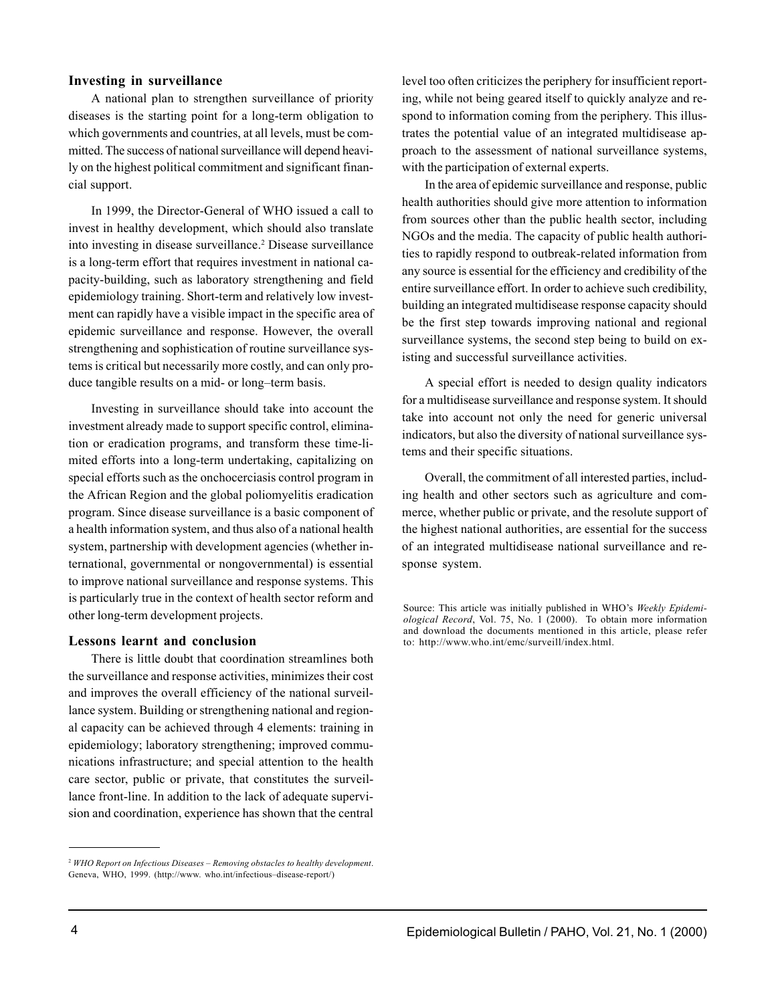### **Investing in surveillance**

A national plan to strengthen surveillance of priority diseases is the starting point for a long-term obligation to which governments and countries, at all levels, must be committed. The success of national surveillance will depend heavily on the highest political commitment and significant financial support.

In 1999, the Director-General of WHO issued a call to invest in healthy development, which should also translate into investing in disease surveillance.<sup>2</sup> Disease surveillance is a long-term effort that requires investment in national capacity-building, such as laboratory strengthening and field epidemiology training. Short-term and relatively low investment can rapidly have a visible impact in the specific area of epidemic surveillance and response. However, the overall strengthening and sophistication of routine surveillance systems is critical but necessarily more costly, and can only produce tangible results on a mid- or long–term basis.

Investing in surveillance should take into account the investment already made to support specific control, elimination or eradication programs, and transform these time-limited efforts into a long-term undertaking, capitalizing on special efforts such as the onchocerciasis control program in the African Region and the global poliomyelitis eradication program. Since disease surveillance is a basic component of a health information system, and thus also of a national health system, partnership with development agencies (whether international, governmental or nongovernmental) is essential to improve national surveillance and response systems. This is particularly true in the context of health sector reform and other long-term development projects.

## **Lessons learnt and conclusion**

There is little doubt that coordination streamlines both the surveillance and response activities, minimizes their cost and improves the overall efficiency of the national surveillance system. Building or strengthening national and regional capacity can be achieved through 4 elements: training in epidemiology; laboratory strengthening; improved communications infrastructure; and special attention to the health care sector, public or private, that constitutes the surveillance front-line. In addition to the lack of adequate supervision and coordination, experience has shown that the central

level too often criticizes the periphery for insufficient reporting, while not being geared itself to quickly analyze and respond to information coming from the periphery. This illustrates the potential value of an integrated multidisease approach to the assessment of national surveillance systems, with the participation of external experts.

In the area of epidemic surveillance and response, public health authorities should give more attention to information from sources other than the public health sector, including NGOs and the media. The capacity of public health authorities to rapidly respond to outbreak-related information from any source is essential for the efficiency and credibility of the entire surveillance effort. In order to achieve such credibility, building an integrated multidisease response capacity should be the first step towards improving national and regional surveillance systems, the second step being to build on existing and successful surveillance activities.

A special effort is needed to design quality indicators for a multidisease surveillance and response system. It should take into account not only the need for generic universal indicators, but also the diversity of national surveillance systems and their specific situations.

Overall, the commitment of all interested parties, including health and other sectors such as agriculture and commerce, whether public or private, and the resolute support of the highest national authorities, are essential for the success of an integrated multidisease national surveillance and response system.

<sup>2</sup> *WHO Report on Infectious Diseases – Removing obstacles to healthy development*. Geneva, WHO, 1999. (http://www. who.int/infectious–disease-report/)

Source: This article was initially published in WHO's *Weekly Epidemiological Record*, Vol. 75, No. 1 (2000). To obtain more information and download the documents mentioned in this article, please refer to: http://www.who.int/emc/surveill/index.html.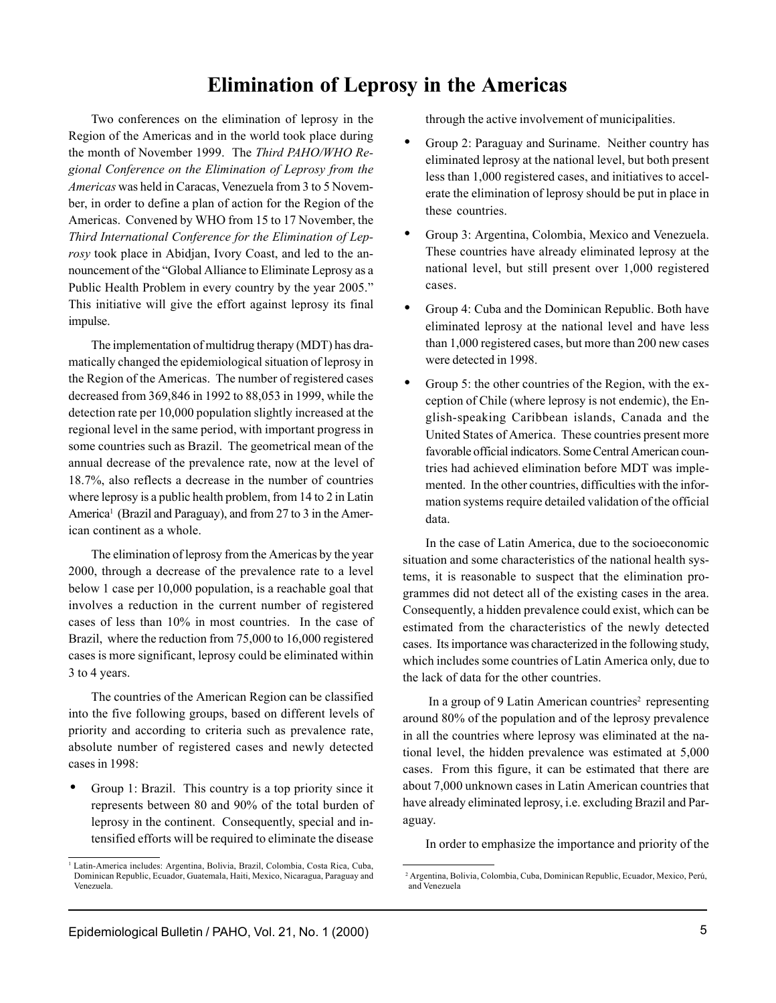## **Elimination of Leprosy in the Americas**

Two conferences on the elimination of leprosy in the Region of the Americas and in the world took place during the month of November 1999. The *Third PAHO/WHO Regional Conference on the Elimination of Leprosy from the Americas* was held in Caracas, Venezuela from 3 to 5 November, in order to define a plan of action for the Region of the Americas. Convened by WHO from 15 to 17 November, the *Third International Conference for the Elimination of Leprosy* took place in Abidjan, Ivory Coast, and led to the announcement of the "Global Alliance to Eliminate Leprosy as a Public Health Problem in every country by the year 2005." This initiative will give the effort against leprosy its final impulse.

The implementation of multidrug therapy (MDT) has dramatically changed the epidemiological situation of leprosy in the Region of the Americas. The number of registered cases decreased from 369,846 in 1992 to 88,053 in 1999, while the detection rate per 10,000 population slightly increased at the regional level in the same period, with important progress in some countries such as Brazil. The geometrical mean of the annual decrease of the prevalence rate, now at the level of 18.7%, also reflects a decrease in the number of countries where leprosy is a public health problem, from 14 to 2 in Latin America<sup>1</sup> (Brazil and Paraguay), and from 27 to 3 in the American continent as a whole.

The elimination of leprosy from the Americas by the year 2000, through a decrease of the prevalence rate to a level below 1 case per 10,000 population, is a reachable goal that involves a reduction in the current number of registered cases of less than 10% in most countries. In the case of Brazil, where the reduction from 75,000 to 16,000 registered cases is more significant, leprosy could be eliminated within 3 to 4 years.

The countries of the American Region can be classified into the five following groups, based on different levels of priority and according to criteria such as prevalence rate, absolute number of registered cases and newly detected cases in 1998:

• Group 1: Brazil. This country is a top priority since it represents between 80 and 90% of the total burden of leprosy in the continent. Consequently, special and intensified efforts will be required to eliminate the disease

through the active involvement of municipalities.

- Group 2: Paraguay and Suriname. Neither country has eliminated leprosy at the national level, but both present less than 1,000 registered cases, and initiatives to accelerate the elimination of leprosy should be put in place in these countries.
- Group 3: Argentina, Colombia, Mexico and Venezuela. These countries have already eliminated leprosy at the national level, but still present over 1,000 registered cases.
- Group 4: Cuba and the Dominican Republic. Both have eliminated leprosy at the national level and have less than 1,000 registered cases, but more than 200 new cases were detected in 1998.
- Group 5: the other countries of the Region, with the exception of Chile (where leprosy is not endemic), the English-speaking Caribbean islands, Canada and the United States of America. These countries present more favorable official indicators. Some Central American countries had achieved elimination before MDT was implemented. In the other countries, difficulties with the information systems require detailed validation of the official data.

In the case of Latin America, due to the socioeconomic situation and some characteristics of the national health systems, it is reasonable to suspect that the elimination programmes did not detect all of the existing cases in the area. Consequently, a hidden prevalence could exist, which can be estimated from the characteristics of the newly detected cases. Its importance was characterized in the following study, which includes some countries of Latin America only, due to the lack of data for the other countries.

In a group of 9 Latin American countries<sup>2</sup> representing around 80% of the population and of the leprosy prevalence in all the countries where leprosy was eliminated at the national level, the hidden prevalence was estimated at 5,000 cases. From this figure, it can be estimated that there are about 7,000 unknown cases in Latin American countries that have already eliminated leprosy, i.e. excluding Brazil and Paraguay.

In order to emphasize the importance and priority of the

<sup>&</sup>lt;sup>1</sup> Latin-America includes: Argentina, Bolivia, Brazil, Colombia, Costa Rica, Cuba, Dominican Republic, Ecuador, Guatemala, Haiti, Mexico, Nicaragua, Paraguay and Venezuela.

<sup>2</sup> Argentina, Bolivia, Colombia, Cuba, Dominican Republic, Ecuador, Mexico, Perú, and Venezuela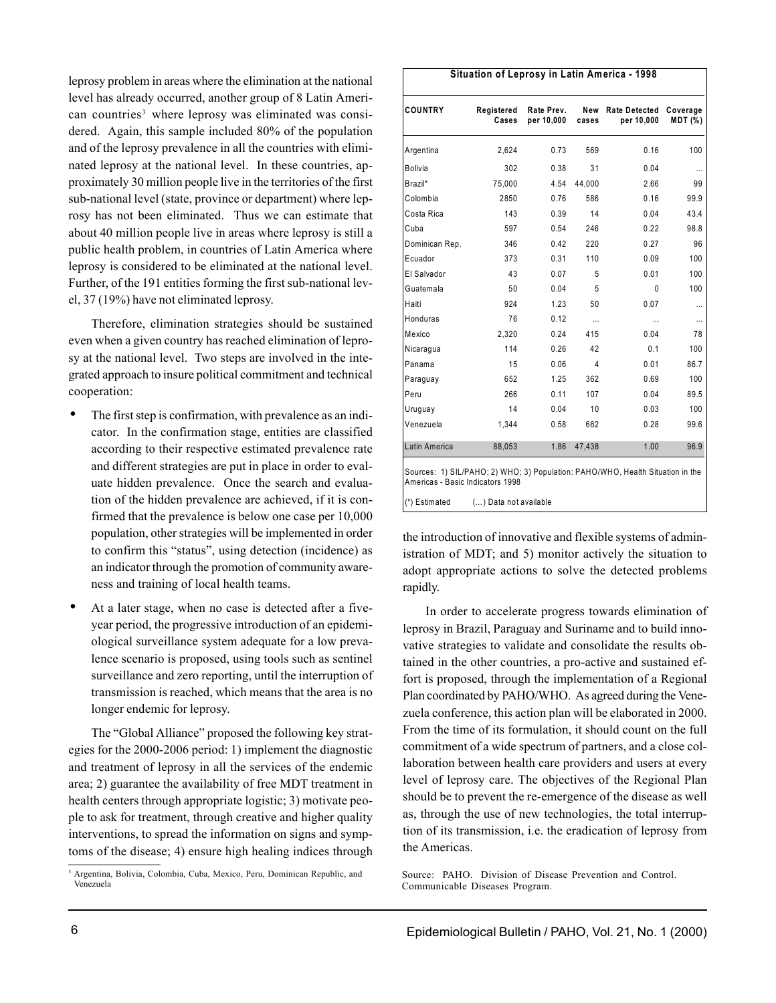leprosy problem in areas where the elimination at the national level has already occurred, another group of 8 Latin American countries<sup>3</sup> where leprosy was eliminated was considered. Again, this sample included 80% of the population and of the leprosy prevalence in all the countries with eliminated leprosy at the national level. In these countries, approximately 30 million people live in the territories of the first sub-national level (state, province or department) where leprosy has not been eliminated. Thus we can estimate that about 40 million people live in areas where leprosy is still a public health problem, in countries of Latin America where leprosy is considered to be eliminated at the national level. Further, of the 191 entities forming the first sub-national level, 37 (19%) have not eliminated leprosy.

Therefore, elimination strategies should be sustained even when a given country has reached elimination of leprosy at the national level. Two steps are involved in the integrated approach to insure political commitment and technical cooperation:

- The first step is confirmation, with prevalence as an indicator. In the confirmation stage, entities are classified according to their respective estimated prevalence rate and different strategies are put in place in order to evaluate hidden prevalence. Once the search and evaluation of the hidden prevalence are achieved, if it is confirmed that the prevalence is below one case per 10,000 population, other strategies will be implemented in order to confirm this "status", using detection (incidence) as an indicator through the promotion of community awareness and training of local health teams.
- At a later stage, when no case is detected after a fiveyear period, the progressive introduction of an epidemiological surveillance system adequate for a low prevalence scenario is proposed, using tools such as sentinel surveillance and zero reporting, until the interruption of transmission is reached, which means that the area is no longer endemic for leprosy.

The "Global Alliance" proposed the following key strategies for the 2000-2006 period: 1) implement the diagnostic and treatment of leprosy in all the services of the endemic area; 2) guarantee the availability of free MDT treatment in health centers through appropriate logistic; 3) motivate people to ask for treatment, through creative and higher quality interventions, to spread the information on signs and symptoms of the disease; 4) ensure high healing indices through

#### **Situation of Leprosy in Latin America - 1998**

| <b>COUNTRY</b>                                                                                                                                               | Registered<br>Cases | Rate Prev.<br>per 10,000 | New<br>cases | <b>Rate Detected</b><br>per 10,000 | Coverage<br><b>MDT</b> (%) |
|--------------------------------------------------------------------------------------------------------------------------------------------------------------|---------------------|--------------------------|--------------|------------------------------------|----------------------------|
| Argentina                                                                                                                                                    | 2,624               | 0.73                     | 569          | 0.16                               | 100                        |
| <b>Bolivia</b>                                                                                                                                               | 302                 | 0.38                     | 31           | 0.04                               |                            |
| Brazil*                                                                                                                                                      | 75,000              | 4.54                     | 44.000       | 2.66                               | 99                         |
| Colombia                                                                                                                                                     | 2850                | 0.76                     | 586          | 0.16                               | 99.9                       |
| Costa Rica                                                                                                                                                   | 143                 | 0.39                     | 14           | 0.04                               | 43.4                       |
| Cuba                                                                                                                                                         | 597                 | 0.54                     | 246          | 0.22                               | 98.8                       |
| Dominican Rep.                                                                                                                                               | 346                 | 0.42                     | 220          | 0.27                               | 96                         |
| Ecuador                                                                                                                                                      | 373                 | 0.31                     | 110          | 0.09                               | 100                        |
| El Salvador                                                                                                                                                  | 43                  | 0.07                     | 5            | 0.01                               | 100                        |
| Guatemala                                                                                                                                                    | 50                  | 0.04                     | 5            | 0                                  | 100                        |
| Haití                                                                                                                                                        | 924                 | 1.23                     | 50           | 0.07                               |                            |
| Honduras                                                                                                                                                     | 76                  | 0.12                     | $\ddotsc$    |                                    | $\cdots$                   |
| Mexico                                                                                                                                                       | 2,320               | 0.24                     | 415          | 0.04                               | 78                         |
| Nicaragua                                                                                                                                                    | 114                 | 0.26                     | 42           | 0.1                                | 100                        |
| Panama                                                                                                                                                       | 15                  | 0.06                     | 4            | 0.01                               | 86.7                       |
| Paraguay                                                                                                                                                     | 652                 | 1.25                     | 362          | 0.69                               | 100                        |
| Peru                                                                                                                                                         | 266                 | 0.11                     | 107          | 0.04                               | 89.5                       |
| Uruguay                                                                                                                                                      | 14                  | 0.04                     | 10           | 0.03                               | 100                        |
| Venezuela                                                                                                                                                    | 1.344               | 0.58                     | 662          | 0.28                               | 99.6                       |
| Latin America                                                                                                                                                | 88,053              | 1.86                     | 47,438       | 1.00                               | 96.9                       |
| Sources: 1) SIL/PAHO; 2) WHO; 3) Population: PAHO/WHO, Health Situation in the<br>Americas - Basic Indicators 1998<br>(*) Estimated<br>() Data not available |                     |                          |              |                                    |                            |

the introduction of innovative and flexible systems of administration of MDT; and 5) monitor actively the situation to adopt appropriate actions to solve the detected problems rapidly.

In order to accelerate progress towards elimination of leprosy in Brazil, Paraguay and Suriname and to build innovative strategies to validate and consolidate the results obtained in the other countries, a pro-active and sustained effort is proposed, through the implementation of a Regional Plan coordinated by PAHO/WHO. As agreed during the Venezuela conference, this action plan will be elaborated in 2000. From the time of its formulation, it should count on the full commitment of a wide spectrum of partners, and a close collaboration between health care providers and users at every level of leprosy care. The objectives of the Regional Plan should be to prevent the re-emergence of the disease as well as, through the use of new technologies, the total interruption of its transmission, i.e. the eradication of leprosy from the Americas.

Source: PAHO. Division of Disease Prevention and Control. Communicable Diseases Program.

<sup>3</sup> Argentina, Bolivia, Colombia, Cuba, Mexico, Peru, Dominican Republic, and Venezuela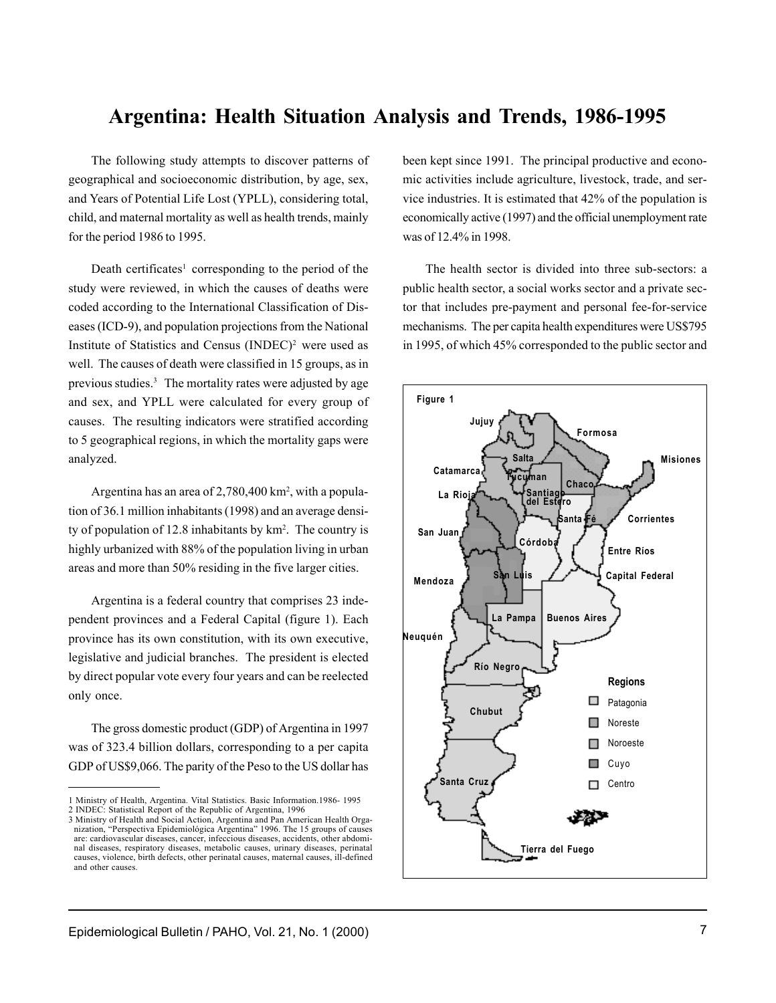## **Argentina: Health Situation Analysis and Trends, 1986-1995**

The following study attempts to discover patterns of geographical and socioeconomic distribution, by age, sex, and Years of Potential Life Lost (YPLL), considering total, child, and maternal mortality as well as health trends, mainly for the period 1986 to 1995.

Death certificates<sup>1</sup> corresponding to the period of the study were reviewed, in which the causes of deaths were coded according to the International Classification of Diseases (ICD-9), and population projections from the National Institute of Statistics and Census  $(INDEC)^2$  were used as well. The causes of death were classified in 15 groups, as in previous studies.3 The mortality rates were adjusted by age and sex, and YPLL were calculated for every group of causes. The resulting indicators were stratified according to 5 geographical regions, in which the mortality gaps were analyzed.

Argentina has an area of 2,780,400 km<sup>2</sup>, with a population of 36.1 million inhabitants (1998) and an average density of population of 12.8 inhabitants by km2 . The country is highly urbanized with 88% of the population living in urban areas and more than 50% residing in the five larger cities.

Argentina is a federal country that comprises 23 independent provinces and a Federal Capital (figure 1). Each province has its own constitution, with its own executive, legislative and judicial branches. The president is elected by direct popular vote every four years and can be reelected only once.

The gross domestic product (GDP) of Argentina in 1997 was of 323.4 billion dollars, corresponding to a per capita GDP of US\$9,066. The parity of the Peso to the US dollar has been kept since 1991. The principal productive and economic activities include agriculture, livestock, trade, and service industries. It is estimated that 42% of the population is economically active (1997) and the official unemployment rate was of 12.4% in 1998.

The health sector is divided into three sub-sectors: a public health sector, a social works sector and a private sector that includes pre-payment and personal fee-for-service mechanisms. The per capita health expenditures were US\$795 in 1995, of which 45% corresponded to the public sector and



<sup>1</sup> Ministry of Health, Argentina. Vital Statistics. Basic Information.1986- 1995

<sup>2</sup> INDEC: Statistical Report of the Republic of Argentina, 1996 3 Ministry of Health and Social Action, Argentina and Pan American Health Organization, "Perspectiva Epidemiológica Argentina" 1996. The 15 groups of causes are: cardiovascular diseases, cancer, infeccious diseases, accidents, other abdominal diseases, respiratory diseases, metabolic causes, urinary diseases, perinatal causes, violence, birth defects, other perinatal causes, maternal causes, ill-defined and other causes.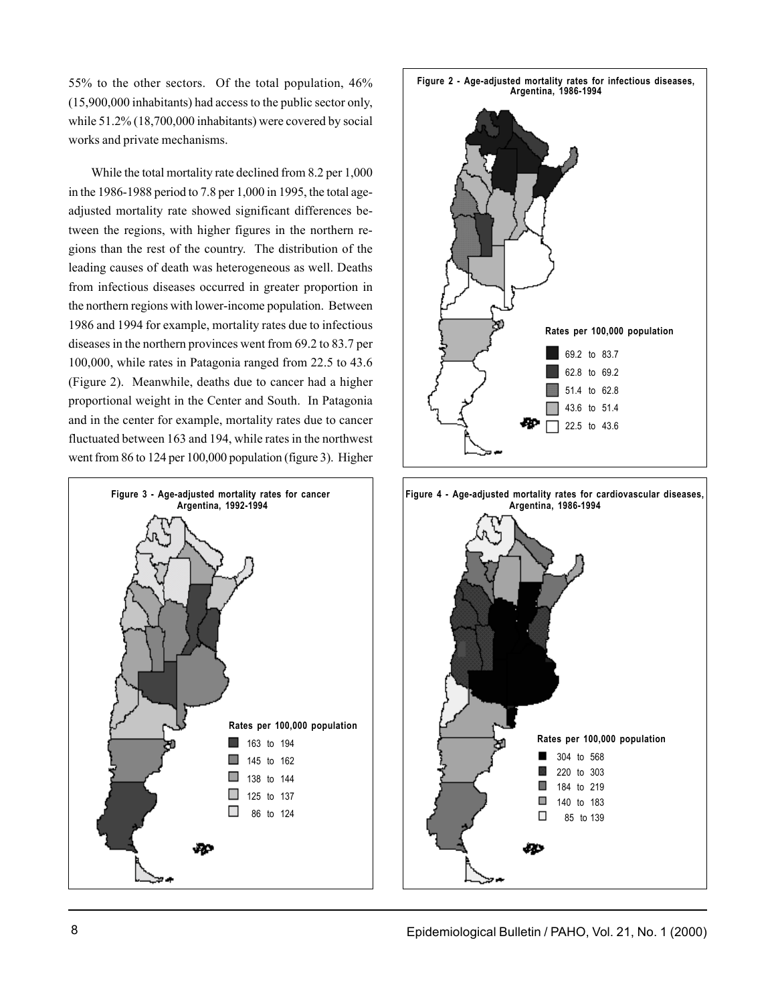55% to the other sectors. Of the total population, 46% (15,900,000 inhabitants) had access to the public sector only, while 51.2% (18,700,000 inhabitants) were covered by social works and private mechanisms.

While the total mortality rate declined from 8.2 per 1,000 in the 1986-1988 period to 7.8 per 1,000 in 1995, the total ageadjusted mortality rate showed significant differences between the regions, with higher figures in the northern regions than the rest of the country. The distribution of the leading causes of death was heterogeneous as well. Deaths from infectious diseases occurred in greater proportion in the northern regions with lower-income population. Between 1986 and 1994 for example, mortality rates due to infectious diseases in the northern provinces went from 69.2 to 83.7 per 100,000, while rates in Patagonia ranged from 22.5 to 43.6 (Figure 2). Meanwhile, deaths due to cancer had a higher proportional weight in the Center and South. In Patagonia and in the center for example, mortality rates due to cancer fluctuated between 163 and 194, while rates in the northwest went from 86 to 124 per 100,000 population (figure 3). Higher





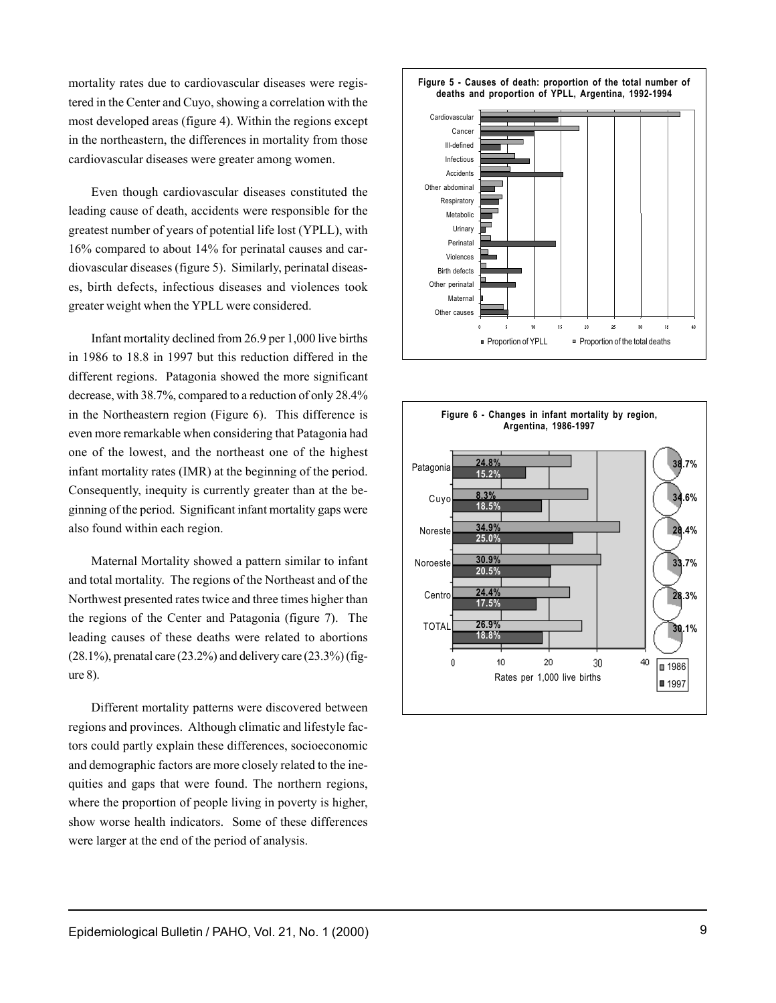mortality rates due to cardiovascular diseases were registered in the Center and Cuyo, showing a correlation with the most developed areas (figure 4). Within the regions except in the northeastern, the differences in mortality from those cardiovascular diseases were greater among women.

Even though cardiovascular diseases constituted the leading cause of death, accidents were responsible for the greatest number of years of potential life lost (YPLL), with 16% compared to about 14% for perinatal causes and cardiovascular diseases (figure 5). Similarly, perinatal diseases, birth defects, infectious diseases and violences took greater weight when the YPLL were considered.

Infant mortality declined from 26.9 per 1,000 live births in 1986 to 18.8 in 1997 but this reduction differed in the different regions. Patagonia showed the more significant decrease, with 38.7%, compared to a reduction of only 28.4% in the Northeastern region (Figure 6). This difference is even more remarkable when considering that Patagonia had one of the lowest, and the northeast one of the highest infant mortality rates (IMR) at the beginning of the period. Consequently, inequity is currently greater than at the beginning of the period. Significant infant mortality gaps were also found within each region.

Maternal Mortality showed a pattern similar to infant and total mortality. The regions of the Northeast and of the Northwest presented rates twice and three times higher than the regions of the Center and Patagonia (figure 7). The leading causes of these deaths were related to abortions  $(28.1\%)$ , prenatal care  $(23.2\%)$  and delivery care  $(23.3\%)$  (figure 8).

Different mortality patterns were discovered between regions and provinces. Although climatic and lifestyle factors could partly explain these differences, socioeconomic and demographic factors are more closely related to the inequities and gaps that were found. The northern regions, where the proportion of people living in poverty is higher, show worse health indicators. Some of these differences were larger at the end of the period of analysis.



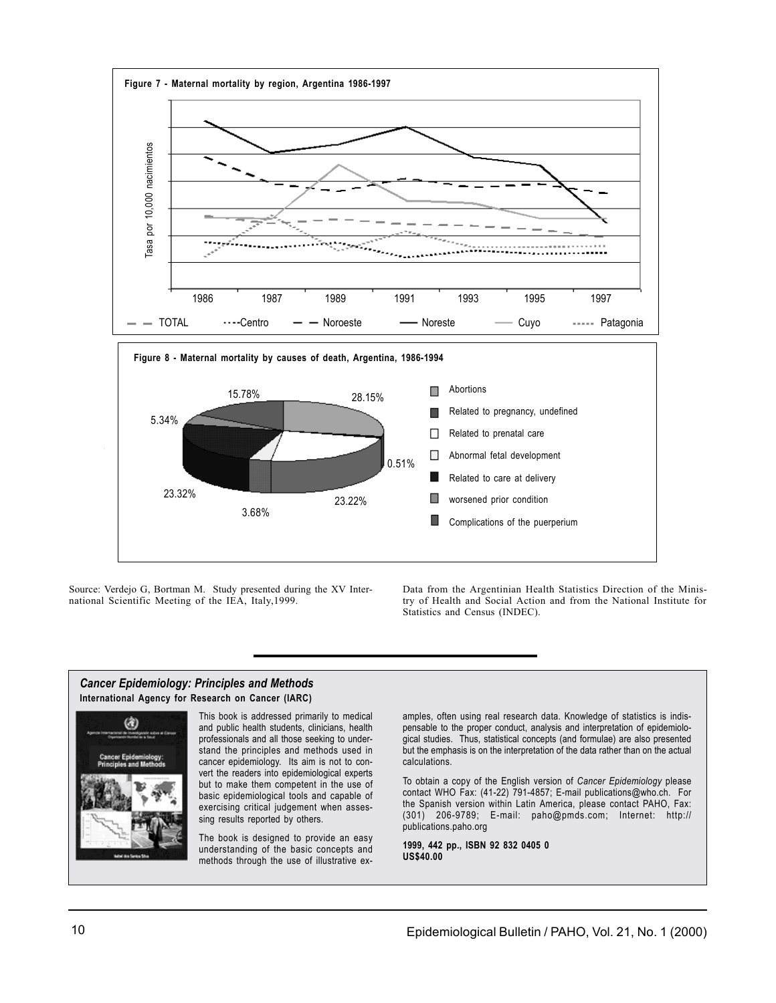

Source: Verdejo G, Bortman M. Study presented during the XV International Scientific Meeting of the IEA, Italy,1999.

Data from the Argentinian Health Statistics Direction of the Ministry of Health and Social Action and from the National Institute for Statistics and Census (INDEC).

## *Cancer Epidemiology: Principles and Methods* **International Agency for Research on Cancer (IARC)**



This book is addressed primarily to medical and public health students, clinicians, health professionals and all those seeking to understand the principles and methods used in cancer epidemiology. Its aim is not to convert the readers into epidemiological experts but to make them competent in the use of basic epidemiological tools and capable of exercising critical judgement when assessing results reported by others.

The book is designed to provide an easy understanding of the basic concepts and methods through the use of illustrative examples, often using real research data. Knowledge of statistics is indispensable to the proper conduct, analysis and interpretation of epidemiological studies. Thus, statistical concepts (and formulae) are also presented but the emphasis is on the interpretation of the data rather than on the actual calculations.

To obtain a copy of the English version of *Cancer Epidemiology* please contact WHO Fax: (41-22) 791-4857; E-mail publications@who.ch. For the Spanish version within Latin America, please contact PAHO, Fax: (301) 206-9789; E-mail: paho@pmds.com; Internet: http:// publications.paho.org

**1999, 442 pp., ISBN 92 832 0405 0 US\$40.00**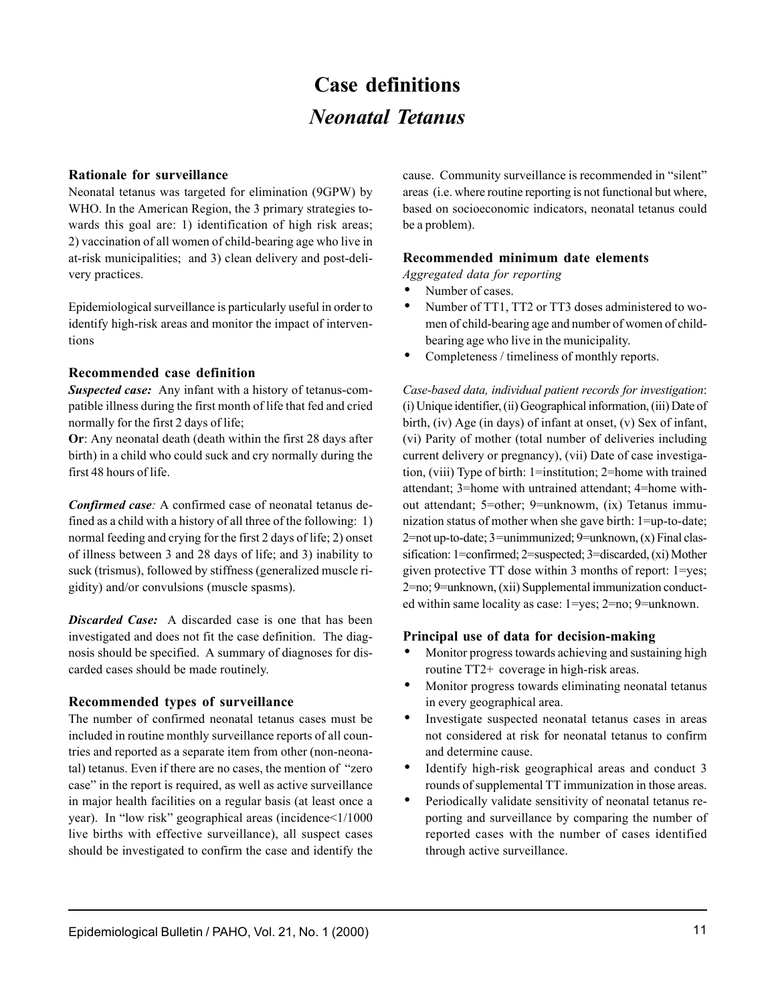# **Case definitions** *Neonatal Tetanus*

## **Rationale for surveillance**

Neonatal tetanus was targeted for elimination (9GPW) by WHO. In the American Region, the 3 primary strategies towards this goal are: 1) identification of high risk areas; 2) vaccination of all women of child-bearing age who live in at-risk municipalities; and 3) clean delivery and post-delivery practices.

Epidemiological surveillance is particularly useful in order to identify high-risk areas and monitor the impact of interventions

## **Recommended case definition**

*Suspected case:* Any infant with a history of tetanus-compatible illness during the first month of life that fed and cried normally for the first 2 days of life;

**Or**: Any neonatal death (death within the first 28 days after birth) in a child who could suck and cry normally during the first 48 hours of life.

*Confirmed case:* A confirmed case of neonatal tetanus defined as a child with a history of all three of the following: 1) normal feeding and crying for the first 2 days of life; 2) onset of illness between 3 and 28 days of life; and 3) inability to suck (trismus), followed by stiffness (generalized muscle rigidity) and/or convulsions (muscle spasms).

*Discarded Case:* A discarded case is one that has been investigated and does not fit the case definition. The diagnosis should be specified. A summary of diagnoses for discarded cases should be made routinely.

## **Recommended types of surveillance**

The number of confirmed neonatal tetanus cases must be included in routine monthly surveillance reports of all countries and reported as a separate item from other (non-neonatal) tetanus. Even if there are no cases, the mention of "zero case" in the report is required, as well as active surveillance in major health facilities on a regular basis (at least once a year). In "low risk" geographical areas (incidence<1/1000 live births with effective surveillance), all suspect cases should be investigated to confirm the case and identify the

cause. Community surveillance is recommended in "silent" areas (i.e. where routine reporting is not functional but where, based on socioeconomic indicators, neonatal tetanus could be a problem).

## **Recommended minimum date elements**

*Aggregated data for reporting*

- Number of cases.
- Number of TT1, TT2 or TT3 doses administered to women of child-bearing age and number of women of childbearing age who live in the municipality.
- Completeness / timeliness of monthly reports.

*Case-based data, individual patient records for investigation*: (i) Unique identifier, (ii) Geographical information, (iii) Date of birth, (iv) Age (in days) of infant at onset, (v) Sex of infant, (vi) Parity of mother (total number of deliveries including current delivery or pregnancy), (vii) Date of case investigation, (viii) Type of birth: 1=institution; 2=home with trained attendant; 3=home with untrained attendant; 4=home without attendant; 5=other; 9=unknowm, (ix) Tetanus immunization status of mother when she gave birth: 1=up-to-date; 2=not up-to-date; 3*=*unimmunized; 9=unknown, (x) Final classification: 1=confirmed; 2=suspected; 3=discarded, (xi) Mother given protective TT dose within 3 months of report: 1=yes; 2=no; 9=unknown, (xii) Supplemental immunization conducted within same locality as case: 1=yes; 2=no; 9=unknown.

## **Principal use of data for decision-making**

- Monitor progress towards achieving and sustaining high routine TT2+ coverage in high-risk areas.
- Monitor progress towards eliminating neonatal tetanus in every geographical area.
- Investigate suspected neonatal tetanus cases in areas not considered at risk for neonatal tetanus to confirm and determine cause.
- Identify high-risk geographical areas and conduct 3 rounds of supplemental TT immunization in those areas.
- Periodically validate sensitivity of neonatal tetanus reporting and surveillance by comparing the number of reported cases with the number of cases identified through active surveillance.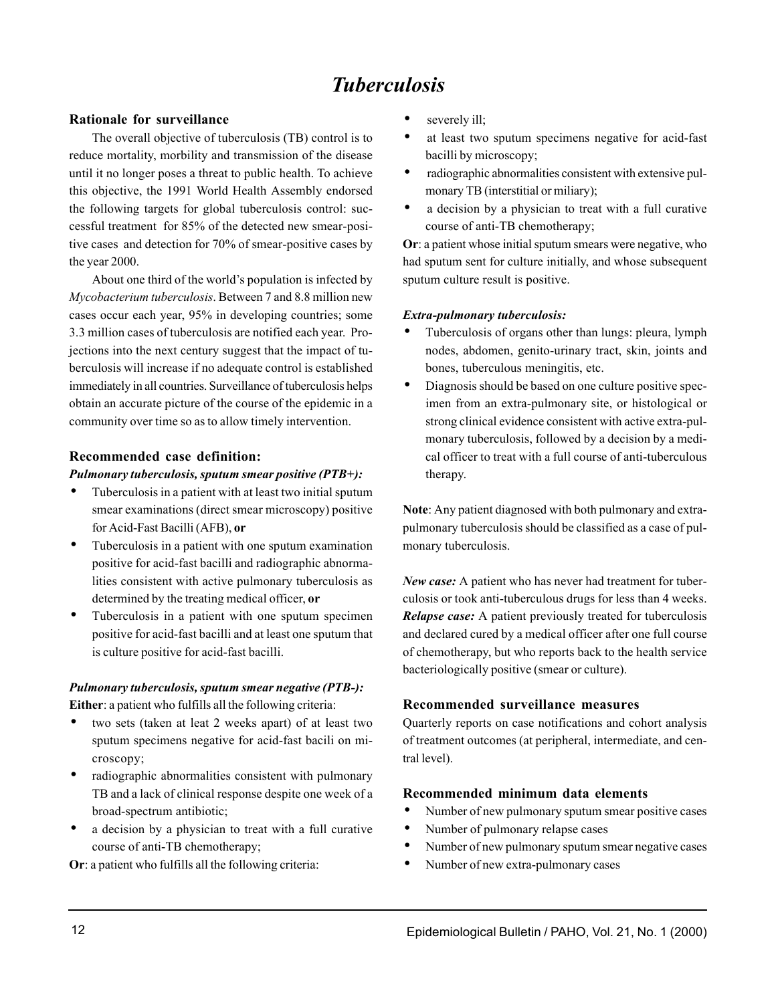## *Tuberculosis*

## **Rationale for surveillance**

The overall objective of tuberculosis (TB) control is to reduce mortality, morbility and transmission of the disease until it no longer poses a threat to public health. To achieve this objective, the 1991 World Health Assembly endorsed the following targets for global tuberculosis control: successful treatment for 85% of the detected new smear-positive cases and detection for 70% of smear-positive cases by the year 2000.

About one third of the world's population is infected by *Mycobacterium tuberculosis*. Between 7 and 8.8 million new cases occur each year, 95% in developing countries; some 3.3 million cases of tuberculosis are notified each year. Projections into the next century suggest that the impact of tuberculosis will increase if no adequate control is established immediately in all countries. Surveillance of tuberculosis helps obtain an accurate picture of the course of the epidemic in a community over time so as to allow timely intervention.

## **Recommended case definition:**

## *Pulmonary tuberculosis, sputum smear positive (PTB+):*

- Tuberculosis in a patient with at least two initial sputum smear examinations (direct smear microscopy) positive for Acid-Fast Bacilli (AFB), **or**
- Tuberculosis in a patient with one sputum examination positive for acid-fast bacilli and radiographic abnormalities consistent with active pulmonary tuberculosis as determined by the treating medical officer, **or**
- Tuberculosis in a patient with one sputum specimen positive for acid-fast bacilli and at least one sputum that is culture positive for acid-fast bacilli.

## *Pulmonary tuberculosis, sputum smear negative (PTB-):*

**Either**: a patient who fulfills all the following criteria:

- two sets (taken at leat 2 weeks apart) of at least two sputum specimens negative for acid-fast bacili on microscopy;
- radiographic abnormalities consistent with pulmonary TB and a lack of clinical response despite one week of a broad-spectrum antibiotic;
- a decision by a physician to treat with a full curative course of anti-TB chemotherapy;

**Or**: a patient who fulfills all the following criteria:

- severely ill;
- at least two sputum specimens negative for acid-fast bacilli by microscopy;
- radiographic abnormalities consistent with extensive pulmonary TB (interstitial or miliary);
- a decision by a physician to treat with a full curative course of anti-TB chemotherapy;

**Or**: a patient whose initial sputum smears were negative, who had sputum sent for culture initially, and whose subsequent sputum culture result is positive.

## *Extra-pulmonary tuberculosis:*

- Tuberculosis of organs other than lungs: pleura, lymph nodes, abdomen, genito-urinary tract, skin, joints and bones, tuberculous meningitis, etc.
- Diagnosis should be based on one culture positive specimen from an extra-pulmonary site, or histological or strong clinical evidence consistent with active extra-pulmonary tuberculosis, followed by a decision by a medical officer to treat with a full course of anti-tuberculous therapy.

**Note**: Any patient diagnosed with both pulmonary and extrapulmonary tuberculosis should be classified as a case of pulmonary tuberculosis.

*New case:* A patient who has never had treatment for tuberculosis or took anti-tuberculous drugs for less than 4 weeks. *Relapse case:* A patient previously treated for tuberculosis and declared cured by a medical officer after one full course of chemotherapy, but who reports back to the health service bacteriologically positive (smear or culture).

## **Recommended surveillance measures**

Quarterly reports on case notifications and cohort analysis of treatment outcomes (at peripheral, intermediate, and central level).

## **Recommended minimum data elements**

- Number of new pulmonary sputum smear positive cases
- Number of pulmonary relapse cases
- Number of new pulmonary sputum smear negative cases
- Number of new extra-pulmonary cases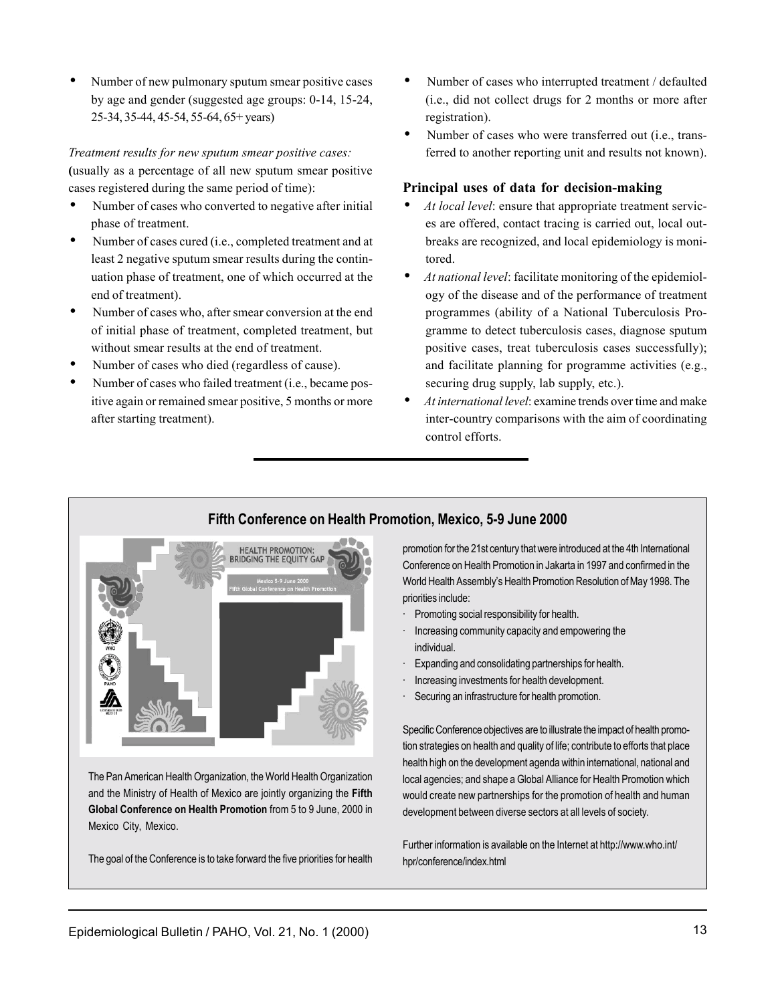• Number of new pulmonary sputum smear positive cases by age and gender (suggested age groups: 0-14, 15-24, 25-34, 35-44, 45-54, 55-64, 65+ years)

### *Treatment results for new sputum smear positive cases:*

**(**usually as a percentage of all new sputum smear positive cases registered during the same period of time):

- Number of cases who converted to negative after initial phase of treatment.
- Number of cases cured (i.e., completed treatment and at least 2 negative sputum smear results during the continuation phase of treatment, one of which occurred at the end of treatment).
- Number of cases who, after smear conversion at the end of initial phase of treatment, completed treatment, but without smear results at the end of treatment.
- Number of cases who died (regardless of cause).
- Number of cases who failed treatment (i.e., became positive again or remained smear positive, 5 months or more after starting treatment).
- Number of cases who interrupted treatment / defaulted (i.e., did not collect drugs for 2 months or more after registration).
- Number of cases who were transferred out (i.e., transferred to another reporting unit and results not known).

## **Principal uses of data for decision-making**

- *At local level*: ensure that appropriate treatment services are offered, contact tracing is carried out, local outbreaks are recognized, and local epidemiology is monitored.
- *At national level*: facilitate monitoring of the epidemiology of the disease and of the performance of treatment programmes (ability of a National Tuberculosis Programme to detect tuberculosis cases, diagnose sputum positive cases, treat tuberculosis cases successfully); and facilitate planning for programme activities (e.g., securing drug supply, lab supply, etc.).
- *At international level*: examine trends over time and make inter-country comparisons with the aim of coordinating control efforts.



The Pan American Health Organization, the World Health Organization and the Ministry of Health of Mexico are jointly organizing the **Fifth Global Conference on Health Promotion** from 5 to 9 June, 2000 in Mexico City, Mexico.

The goal of the Conference is to take forward the five priorities for health

## **Fifth Conference on Health Promotion, Mexico, 5-9 June 2000**

promotion for the 21st century that were introduced at the 4th International Conference on Health Promotion in Jakarta in 1997 and confirmed in the World Health Assembly's Health Promotion Resolution of May 1998. The priorities include:

- Promoting social responsibility for health.
- Increasing community capacity and empowering the individual.
- · Expanding and consolidating partnerships for health.
- Increasing investments for health development.
- Securing an infrastructure for health promotion.

Specific Conference objectives are to illustrate the impact of health promotion strategies on health and quality of life; contribute to efforts that place health high on the development agenda within international, national and local agencies; and shape a Global Alliance for Health Promotion which would create new partnerships for the promotion of health and human development between diverse sectors at all levels of society.

Further information is available on the Internet at http://www.who.int/ hpr/conference/index.html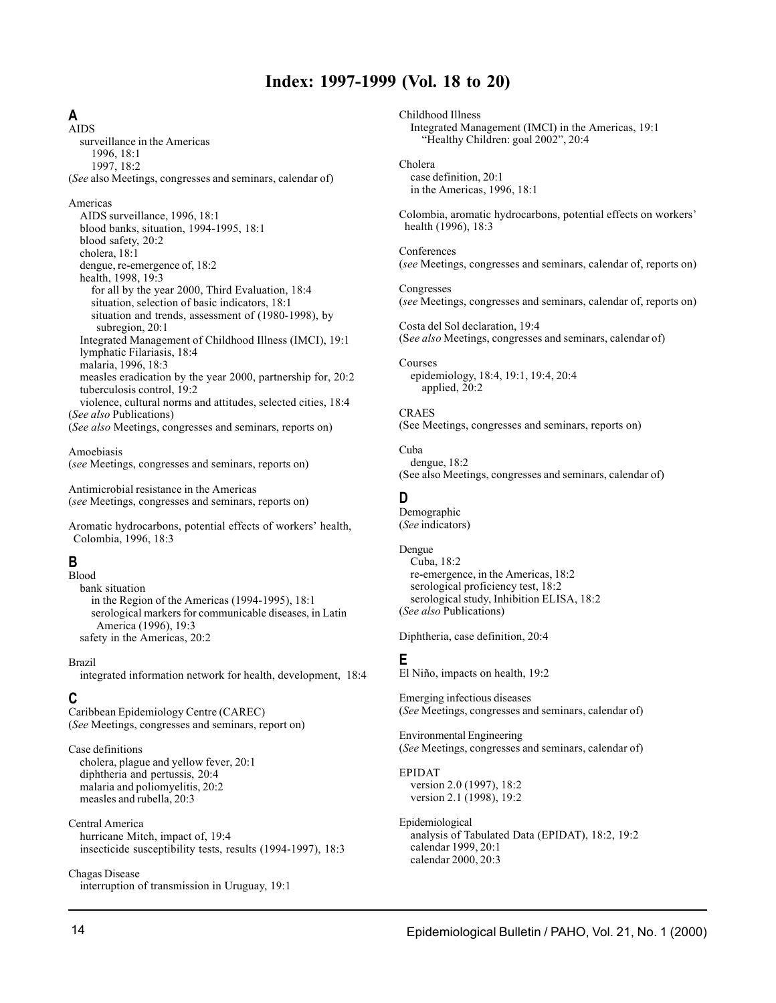## **Index: 1997-1999 (Vol. 18 to 20)**

## **A**

AIDS surveillance in the Americas 1996, 18:1 1997, 18:2 (*See* also Meetings, congresses and seminars, calendar of)

#### Americas

AIDS surveillance, 1996, 18:1 blood banks, situation, 1994-1995, 18:1 blood safety, 20:2 cholera, 18:1 dengue, re-emergence of, 18:2 health, 1998, 19:3 for all by the year 2000, Third Evaluation, 18:4 situation, selection of basic indicators, 18:1 situation and trends, assessment of (1980-1998), by subregion, 20:1 Integrated Management of Childhood Illness (IMCI), 19:1 lymphatic Filariasis, 18:4 malaria, 1996, 18:3 measles eradication by the year 2000, partnership for, 20:2 tuberculosis control, 19:2 violence, cultural norms and attitudes, selected cities, 18:4 (*See also* Publications)

(*See also* Meetings, congresses and seminars, reports on)

#### Amoebiasis

(*see* Meetings, congresses and seminars, reports on)

Antimicrobial resistance in the Americas (*see* Meetings, congresses and seminars, reports on)

Aromatic hydrocarbons, potential effects of workers' health, Colombia, 1996, 18:3

## **B**

Blood

bank situation in the Region of the Americas (1994-1995), 18:1 serological markers for communicable diseases, in Latin America (1996), 19:3 safety in the Americas, 20:2

#### Brazil

integrated information network for health, development, 18:4

## **C**

Caribbean Epidemiology Centre (CAREC) (*See* Meetings, congresses and seminars, report on)

Case definitions cholera, plague and yellow fever, 20:1 diphtheria and pertussis, 20:4 malaria and poliomyelitis, 20:2 measles and rubella, 20:3

Central America hurricane Mitch, impact of, 19:4 insecticide susceptibility tests, results (1994-1997), 18:3

Chagas Disease interruption of transmission in Uruguay, 19:1 Childhood Illness Integrated Management (IMCI) in the Americas, 19:1 "Healthy Children: goal 2002", 20:4

#### Cholera

case definition, 20:1 in the Americas, 1996, 18:1

Colombia, aromatic hydrocarbons, potential effects on workers' health (1996), 18:3

#### **Conferences**

(*see* Meetings, congresses and seminars, calendar of, reports on)

#### Congresses

(*see* Meetings, congresses and seminars, calendar of, reports on)

Costa del Sol declaration, 19:4 (S*ee also* Meetings, congresses and seminars, calendar of)

#### Courses

epidemiology, 18:4, 19:1, 19:4, 20:4 applied, 20:2

#### CRAES

(See Meetings, congresses and seminars, reports on)

Cuba dengue, 18:2 (See also Meetings, congresses and seminars, calendar of)

### **D**

Demographic (*See* indicators)

#### Dengue

Cuba, 18:2 re-emergence, in the Americas, 18:2 serological proficiency test, 18:2 serological study, Inhibition ELISA, 18:2 (*See also* Publications)

Diphtheria, case definition, 20:4

## **E**

El Niño, impacts on health, 19:2

Emerging infectious diseases (*See* Meetings, congresses and seminars, calendar of)

Environmental Engineering (*See* Meetings, congresses and seminars, calendar of)

EPIDAT version 2.0 (1997), 18:2 version 2.1 (1998), 19:2

Epidemiological analysis of Tabulated Data (EPIDAT), 18:2, 19:2 calendar 1999, 20:1 calendar 2000, 20:3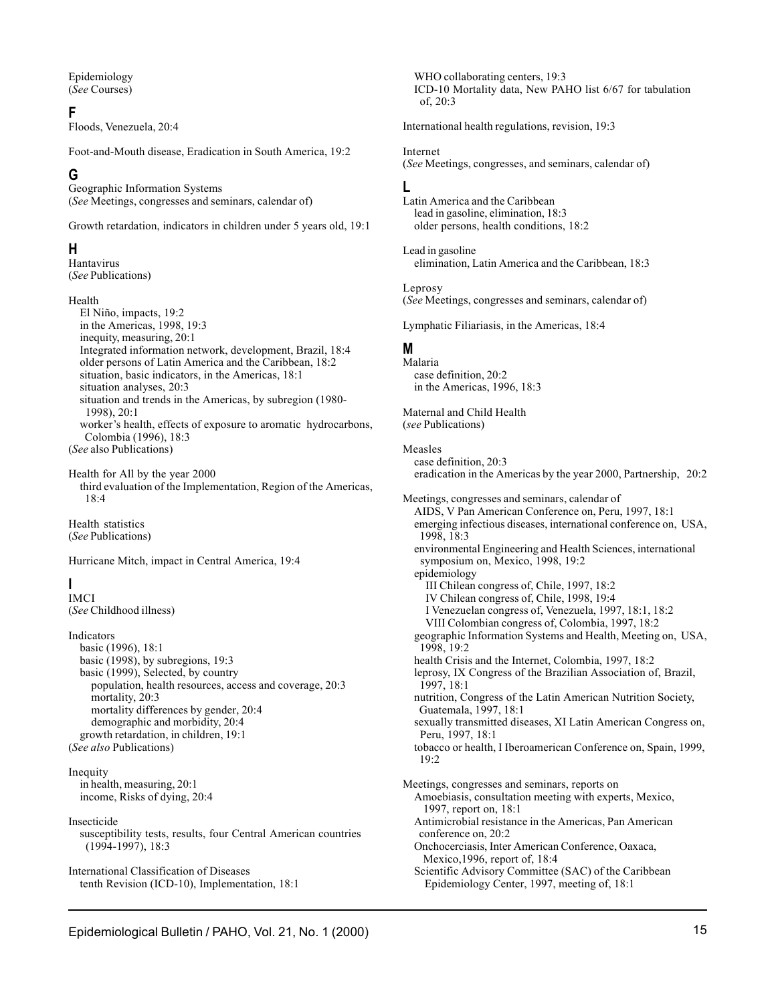Epidemiology (*See* Courses)

#### **F**

Floods, Venezuela, 20:4

Foot-and-Mouth disease, Eradication in South America, 19:2

#### **G**

Geographic Information Systems (*See* Meetings, congresses and seminars, calendar of)

Growth retardation, indicators in children under 5 years old, 19:1

#### **H**

Hantavirus (*See* Publications)

#### Health

El Niño, impacts, 19:2 in the Americas, 1998, 19:3 inequity, measuring, 20:1 Integrated information network, development, Brazil, 18:4 older persons of Latin America and the Caribbean, 18:2 situation, basic indicators, in the Americas, 18:1 situation analyses, 20:3 situation and trends in the Americas, by subregion (1980- 1998), 20:1 worker's health, effects of exposure to aromatic hydrocarbons, Colombia (1996), 18:3

(*See* also Publications)

Health for All by the year 2000

third evaluation of the Implementation, Region of the Americas, 18:4

Health statistics (*See* Publications)

Hurricane Mitch, impact in Central America, 19:4

## **I**

IMCI (*See* Childhood illness)

#### Indicators

basic (1996), 18:1 basic (1998), by subregions, 19:3 basic (1999), Selected, by country population, health resources, access and coverage, 20:3 mortality, 20:3 mortality differences by gender, 20:4 demographic and morbidity, 20:4 growth retardation, in children, 19:1 (*See also* Publications)

#### Inequity

in health, measuring, 20:1 income, Risks of dying, 20:4

Insecticide

susceptibility tests, results, four Central American countries (1994-1997), 18:3

International Classification of Diseases tenth Revision (ICD-10), Implementation, 18:1 WHO collaborating centers, 19:3 ICD-10 Mortality data, New PAHO list 6/67 for tabulation of, 20:3

International health regulations, revision, 19:3

#### Internet (*See* Meetings, congresses, and seminars, calendar of)

#### **L**

Latin America and the Caribbean lead in gasoline, elimination, 18:3 older persons, health conditions, 18:2

Lead in gasoline elimination, Latin America and the Caribbean, 18:3

Leprosy (*See* Meetings, congresses and seminars, calendar of)

Lymphatic Filiariasis, in the Americas, 18:4

#### **M**

Malaria case definition, 20:2 in the Americas, 1996, 18:3

Maternal and Child Health (*see* Publications)

#### Measles

case definition, 20:3 eradication in the Americas by the year 2000, Partnership, 20:2

Meetings, congresses and seminars, calendar of AIDS, V Pan American Conference on, Peru, 1997, 18:1 emerging infectious diseases, international conference on, USA, 1998, 18:3 environmental Engineering and Health Sciences, international symposium on, Mexico, 1998, 19:2 epidemiology III Chilean congress of, Chile, 1997, 18:2 IV Chilean congress of, Chile, 1998, 19:4 I Venezuelan congress of, Venezuela, 1997, 18:1, 18:2 VIII Colombian congress of, Colombia, 1997, 18:2 geographic Information Systems and Health, Meeting on, USA, 1998, 19:2 health Crisis and the Internet, Colombia, 1997, 18:2 leprosy, IX Congress of the Brazilian Association of, Brazil, 1997, 18:1 nutrition, Congress of the Latin American Nutrition Society, Guatemala, 1997, 18:1 sexually transmitted diseases, XI Latin American Congress on, Peru, 1997, 18:1 tobacco or health, I Iberoamerican Conference on, Spain, 1999, 19:2 Meetings, congresses and seminars, reports on Amoebiasis, consultation meeting with experts, Mexico, 1997, report on, 18:1 Antimicrobial resistance in the Americas, Pan American conference on, 20:2 Onchocerciasis, Inter American Conference, Oaxaca, Mexico,1996, report of, 18:4 Scientific Advisory Committee (SAC) of the Caribbean Epidemiology Center, 1997, meeting of, 18:1